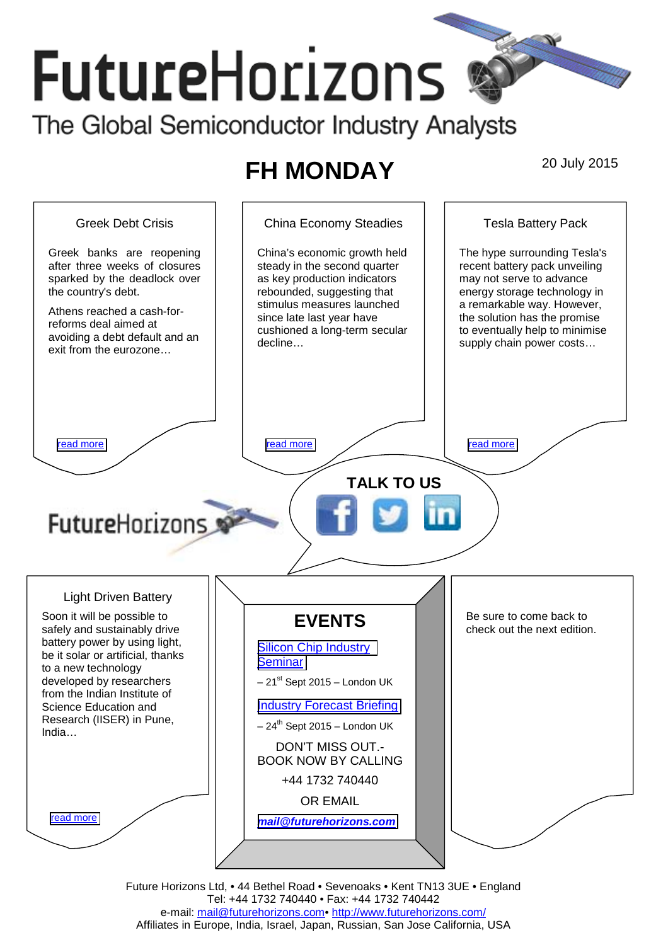# **Future**Horizons The Global Semiconductor Industry Analysts

## **FH MONDAY** 20 July 2015



Future Horizons Ltd, • 44 Bethel Road • Sevenoaks • Kent TN13 3UE • England Tel: +44 1732 740440 • Fax: +44 1732 740442 e-mail: mail@futurehorizons.com• http://www.futurehorizons.com/ Affiliates in Europe, India, Israel, Japan, Russian, San Jose California, USA